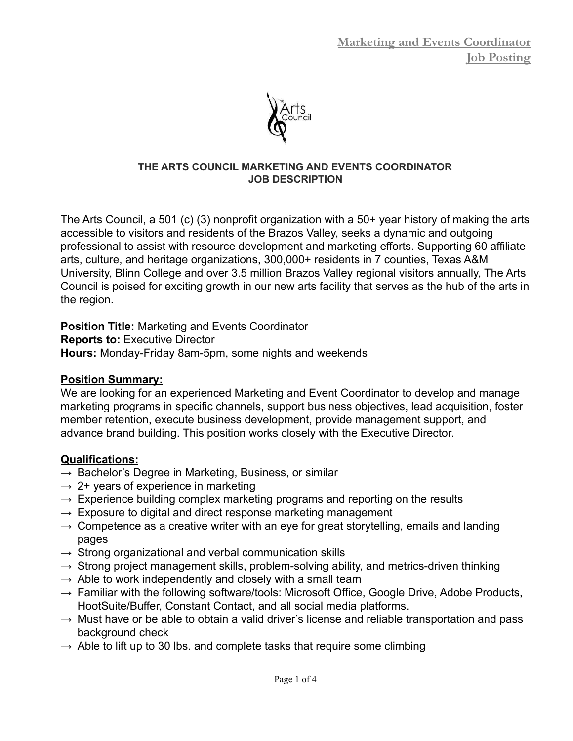

#### **THE ARTS COUNCIL MARKETING AND EVENTS COORDINATOR JOB DESCRIPTION**

The Arts Council, a 501 (c) (3) nonprofit organization with a 50+ year history of making the arts accessible to visitors and residents of the Brazos Valley, seeks a dynamic and outgoing professional to assist with resource development and marketing efforts. Supporting 60 affiliate arts, culture, and heritage organizations, 300,000+ residents in 7 counties, Texas A&M University, Blinn College and over 3.5 million Brazos Valley regional visitors annually, The Arts Council is poised for exciting growth in our new arts facility that serves as the hub of the arts in the region.

**Position Title:** Marketing and Events Coordinator

**Reports to:** Executive Director

**Hours:** Monday-Friday 8am-5pm, some nights and weekends

### **Position Summary:**

We are looking for an experienced Marketing and Event Coordinator to develop and manage marketing programs in specific channels, support business objectives, lead acquisition, foster member retention, execute business development, provide management support, and advance brand building. This position works closely with the Executive Director.

### **Qualifications:**

- $\rightarrow$  Bachelor's Degree in Marketing, Business, or similar
- $\rightarrow$  2+ years of experience in marketing
- $\rightarrow$  Experience building complex marketing programs and reporting on the results
- $\rightarrow$  Exposure to digital and direct response marketing management
- $\rightarrow$  Competence as a creative writer with an eye for great storytelling, emails and landing pages
- $\rightarrow$  Strong organizational and verbal communication skills
- $\rightarrow$  Strong project management skills, problem-solving ability, and metrics-driven thinking
- $\rightarrow$  Able to work independently and closely with a small team
- $\rightarrow$  Familiar with the following software/tools: Microsoft Office, Google Drive, Adobe Products, HootSuite/Buffer, Constant Contact, and all social media platforms.
- $\rightarrow$  Must have or be able to obtain a valid driver's license and reliable transportation and pass background check
- $\rightarrow$  Able to lift up to 30 lbs. and complete tasks that require some climbing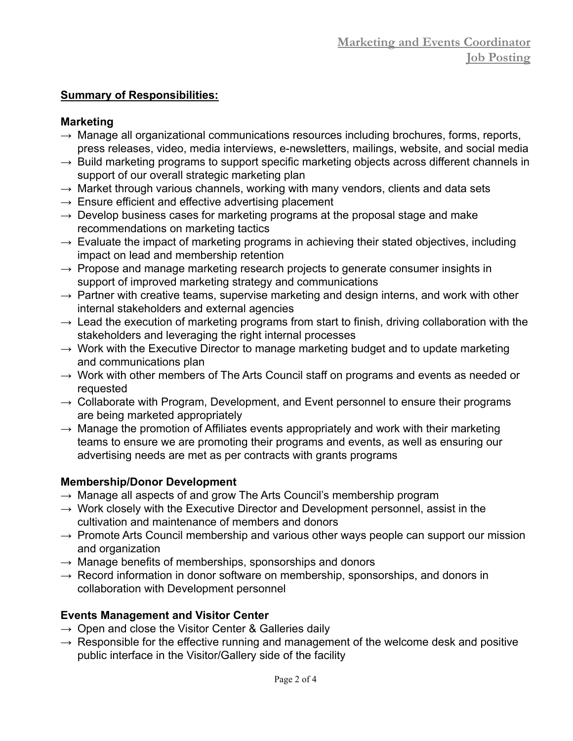## **Summary of Responsibilities:**

## **Marketing**

- $\rightarrow$  Manage all organizational communications resources including brochures, forms, reports, press releases, video, media interviews, e-newsletters, mailings, website, and social media
- $\rightarrow$  Build marketing programs to support specific marketing objects across different channels in support of our overall strategic marketing plan
- $\rightarrow$  Market through various channels, working with many vendors, clients and data sets
- $\rightarrow$  Ensure efficient and effective advertising placement
- $\rightarrow$  Develop business cases for marketing programs at the proposal stage and make recommendations on marketing tactics
- $\rightarrow$  Evaluate the impact of marketing programs in achieving their stated objectives, including impact on lead and membership retention
- $\rightarrow$  Propose and manage marketing research projects to generate consumer insights in support of improved marketing strategy and communications
- $\rightarrow$  Partner with creative teams, supervise marketing and design interns, and work with other internal stakeholders and external agencies
- $\rightarrow$  Lead the execution of marketing programs from start to finish, driving collaboration with the stakeholders and leveraging the right internal processes
- $\rightarrow$  Work with the Executive Director to manage marketing budget and to update marketing and communications plan
- $\rightarrow$  Work with other members of The Arts Council staff on programs and events as needed or requested
- $\rightarrow$  Collaborate with Program, Development, and Event personnel to ensure their programs are being marketed appropriately
- $\rightarrow$  Manage the promotion of Affiliates events appropriately and work with their marketing teams to ensure we are promoting their programs and events, as well as ensuring our advertising needs are met as per contracts with grants programs

# **Membership/Donor Development**

- $\rightarrow$  Manage all aspects of and grow The Arts Council's membership program
- $\rightarrow$  Work closely with the Executive Director and Development personnel, assist in the cultivation and maintenance of members and donors
- $\rightarrow$  Promote Arts Council membership and various other ways people can support our mission and organization
- $\rightarrow$  Manage benefits of memberships, sponsorships and donors
- $\rightarrow$  Record information in donor software on membership, sponsorships, and donors in collaboration with Development personnel

# **Events Management and Visitor Center**

- $\rightarrow$  Open and close the Visitor Center & Galleries daily
- $\rightarrow$  Responsible for the effective running and management of the welcome desk and positive public interface in the Visitor/Gallery side of the facility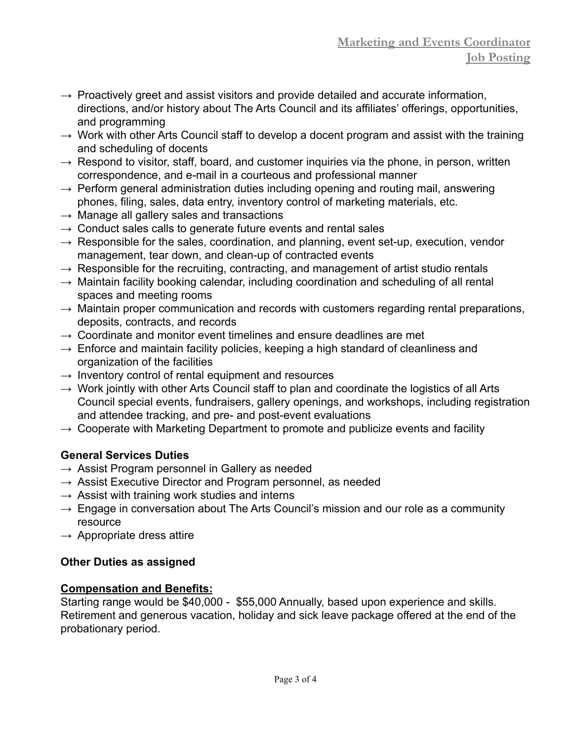- $\rightarrow$  Proactively greet and assist visitors and provide detailed and accurate information, directions, and/or history about The Arts Council and its affiliates' offerings, opportunities, and programming
- $\rightarrow$  Work with other Arts Council staff to develop a docent program and assist with the training and scheduling of docents
- $\rightarrow$  Respond to visitor, staff, board, and customer inquiries via the phone, in person, written correspondence, and e-mail in a courteous and professional manner
- $\rightarrow$  Perform general administration duties including opening and routing mail, answering phones, filing, sales, data entry, inventory control of marketing materials, etc.
- $\rightarrow$  Manage all gallery sales and transactions
- $\rightarrow$  Conduct sales calls to generate future events and rental sales
- $\rightarrow$  Responsible for the sales, coordination, and planning, event set-up, execution, vendor management, tear down, and clean-up of contracted events
- $\rightarrow$  Responsible for the recruiting, contracting, and management of artist studio rentals
- $\rightarrow$  Maintain facility booking calendar, including coordination and scheduling of all rental spaces and meeting rooms
- $\rightarrow$  Maintain proper communication and records with customers regarding rental preparations, deposits, contracts, and records
- $\rightarrow$  Coordinate and monitor event timelines and ensure deadlines are met
- $\rightarrow$  Enforce and maintain facility policies, keeping a high standard of cleanliness and organization of the facilities
- $\rightarrow$  Inventory control of rental equipment and resources
- $\rightarrow$  Work jointly with other Arts Council staff to plan and coordinate the logistics of all Arts Council special events, fundraisers, gallery openings, and workshops, including registration and attendee tracking, and pre- and post-event evaluations
- $\rightarrow$  Cooperate with Marketing Department to promote and publicize events and facility

## **General Services Duties**

- $\rightarrow$  Assist Program personnel in Gallery as needed
- $\rightarrow$  Assist Executive Director and Program personnel, as needed
- $\rightarrow$  Assist with training work studies and interns
- $\rightarrow$  Engage in conversation about The Arts Council's mission and our role as a community resource
- $\rightarrow$  Appropriate dress attire

## **Other Duties as assigned**

## **Compensation and Benefits:**

Starting range would be \$40,000 - \$55,000 Annually, based upon experience and skills. Retirement and generous vacation, holiday and sick leave package offered at the end of the probationary period.